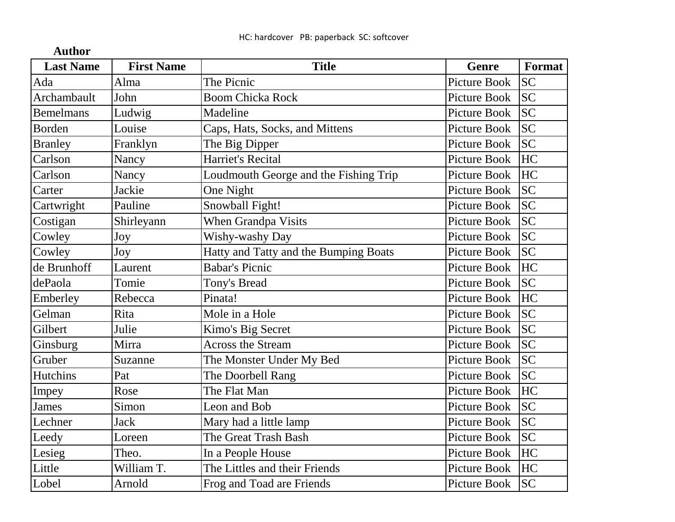| <b>Last Name</b> | <b>First Name</b> | <b>Title</b>                          | Genre               | Format    |
|------------------|-------------------|---------------------------------------|---------------------|-----------|
| Ada              | Alma              | The Picnic                            | <b>Picture Book</b> | <b>SC</b> |
| Archambault      | John              | <b>Boom Chicka Rock</b>               | <b>Picture Book</b> | <b>SC</b> |
| <b>Bemelmans</b> | Ludwig            | Madeline                              | <b>Picture Book</b> | <b>SC</b> |
| Borden           | Louise            | Caps, Hats, Socks, and Mittens        | <b>Picture Book</b> | <b>SC</b> |
| <b>Branley</b>   | Franklyn          | The Big Dipper                        | <b>Picture Book</b> | <b>SC</b> |
| Carlson          | Nancy             | <b>Harriet's Recital</b>              | Picture Book        | HC        |
| Carlson          | Nancy             | Loudmouth George and the Fishing Trip | <b>Picture Book</b> | HC        |
| Carter           | Jackie            | One Night                             | <b>Picture Book</b> | <b>SC</b> |
| Cartwright       | Pauline           | Snowball Fight!                       | <b>Picture Book</b> | <b>SC</b> |
| Costigan         | Shirleyann        | When Grandpa Visits                   | <b>Picture Book</b> | <b>SC</b> |
| Cowley           | Joy               | Wishy-washy Day                       | <b>Picture Book</b> | <b>SC</b> |
| Cowley           | Joy               | Hatty and Tatty and the Bumping Boats | <b>Picture Book</b> | <b>SC</b> |
| de Brunhoff      | Laurent           | <b>Babar's Picnic</b>                 | Picture Book        | HC        |
| dePaola          | Tomie             | <b>Tony's Bread</b>                   | <b>Picture Book</b> | <b>SC</b> |
| Emberley         | Rebecca           | Pinata!                               | <b>Picture Book</b> | HC        |
| Gelman           | Rita              | Mole in a Hole                        | <b>Picture Book</b> | <b>SC</b> |
| Gilbert          | Julie             | Kimo's Big Secret                     | <b>Picture Book</b> | <b>SC</b> |
| Ginsburg         | Mirra             | <b>Across the Stream</b>              | <b>Picture Book</b> | <b>SC</b> |
| Gruber           | Suzanne           | The Monster Under My Bed              | <b>Picture Book</b> | <b>SC</b> |
| <b>Hutchins</b>  | Pat               | The Doorbell Rang                     | <b>Picture Book</b> | <b>SC</b> |
| Impey            | Rose              | The Flat Man                          | <b>Picture Book</b> | HC        |
| James            | Simon             | Leon and Bob                          | <b>Picture Book</b> | <b>SC</b> |
| Lechner          | <b>Jack</b>       | Mary had a little lamp                | <b>Picture Book</b> | <b>SC</b> |
| Leedy            | Loreen            | The Great Trash Bash                  | <b>Picture Book</b> | <b>SC</b> |
| Lesieg           | Theo.             | In a People House                     | <b>Picture Book</b> | <b>HC</b> |
| Little           | William T.        | The Littles and their Friends         | <b>Picture Book</b> | HC        |
| Lobel            | Arnold            | Frog and Toad are Friends             | Picture Book        | <b>SC</b> |

**Author**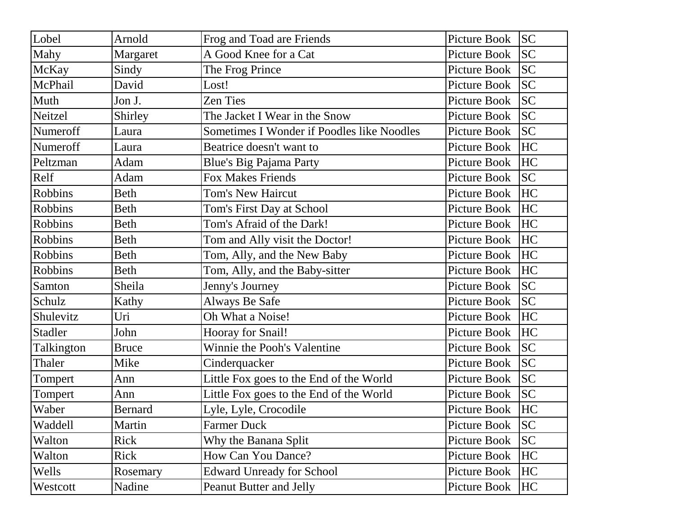| Lobel          | Arnold         | Frog and Toad are Friends                  | Picture Book | <b>SC</b> |
|----------------|----------------|--------------------------------------------|--------------|-----------|
| Mahy           | Margaret       | A Good Knee for a Cat                      | Picture Book | <b>SC</b> |
| McKay          | Sindy          | The Frog Prince                            | Picture Book | <b>SC</b> |
| McPhail        | David          | Lost!                                      | Picture Book | <b>SC</b> |
| Muth           | Jon J.         | <b>Zen Ties</b>                            | Picture Book | <b>SC</b> |
| Neitzel        | Shirley        | The Jacket I Wear in the Snow              | Picture Book | <b>SC</b> |
| Numeroff       | Laura          | Sometimes I Wonder if Poodles like Noodles | Picture Book | <b>SC</b> |
| Numeroff       | Laura          | Beatrice doesn't want to                   | Picture Book | HC        |
| Peltzman       | Adam           | <b>Blue's Big Pajama Party</b>             | Picture Book | <b>HC</b> |
| Relf           | Adam           | <b>Fox Makes Friends</b>                   | Picture Book | <b>SC</b> |
| Robbins        | Beth           | <b>Tom's New Haircut</b>                   | Picture Book | <b>HC</b> |
| Robbins        | Beth           | Tom's First Day at School                  | Picture Book | HC        |
| Robbins        | Beth           | Tom's Afraid of the Dark!                  | Picture Book | <b>HC</b> |
| Robbins        | Beth           | Tom and Ally visit the Doctor!             | Picture Book | HC        |
| <b>Robbins</b> | Beth           | Tom, Ally, and the New Baby                | Picture Book | HC        |
| Robbins        | Beth           | Tom, Ally, and the Baby-sitter             | Picture Book | HC        |
| Samton         | Sheila         | Jenny's Journey                            | Picture Book | <b>SC</b> |
| Schulz         | Kathy          | Always Be Safe                             | Picture Book | <b>SC</b> |
| Shulevitz      | Uri            | Oh What a Noise!                           | Picture Book | HC        |
| <b>Stadler</b> | John           | Hooray for Snail!                          | Picture Book | <b>HC</b> |
| Talkington     | <b>Bruce</b>   | Winnie the Pooh's Valentine                | Picture Book | <b>SC</b> |
| Thaler         | Mike           | Cinderquacker                              | Picture Book | <b>SC</b> |
| Tompert        | Ann            | Little Fox goes to the End of the World    | Picture Book | <b>SC</b> |
| Tompert        | Ann            | Little Fox goes to the End of the World    | Picture Book | <b>SC</b> |
| Waber          | <b>Bernard</b> | Lyle, Lyle, Crocodile                      | Picture Book | HC        |
| Waddell        | Martin         | <b>Farmer Duck</b>                         | Picture Book | <b>SC</b> |
| Walton         | Rick           | Why the Banana Split                       | Picture Book | <b>SC</b> |
| Walton         | Rick           | How Can You Dance?                         | Picture Book | <b>HC</b> |
| Wells          | Rosemary       | <b>Edward Unready for School</b>           | Picture Book | <b>HC</b> |
| Westcott       | Nadine         | Peanut Butter and Jelly                    | Picture Book | HC        |